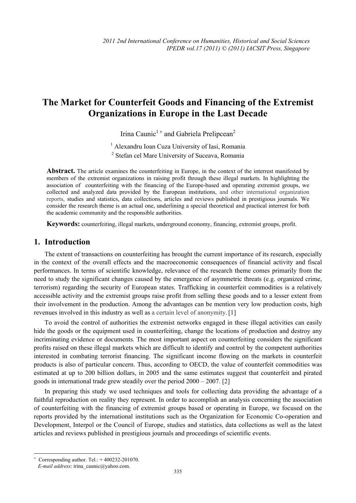# **The Market for Counterfeit Goods and Financing of the Extremist Organizations in Europe in the Last Decade**

Irina Caunic<sup>1+</sup> and Gabriela Prelipcean<sup>2</sup>

<sup>1</sup> Alexandru Ioan Cuza University of Iasi, Romania

<sup>2</sup> Stefan cel Mare University of Suceava, Romania

**Abstract.** The article examines the counterfeiting in Europe, in the context of the interrest manifested by members of the extremist organizations in raising profit through these illegal markets. In highlighting the association of counterfeiting with the financing of the Europe-based and operating extremist groups, we collected and analyzed data provided by the European institutions, and other international organization reports, studies and statistics, data collections, articles and reviews published in prestigious journals. We consider the research theme is an actual one, underlining a special theoretical and practical interrest for both the academic community and the responsible authorities.

**Keywords:** counterfeiting, illegal markets, underground economy, financing, extremist groups, profit.

#### **1. Introduction**

The extent of transactions on counterfeiting has brought the current importance of its research, especially in the context of the overall effects and the macroeconomic consequences of financial activity and fiscal performances. In terms of scientific knowledge, relevance of the research theme comes primarily from the need to study the significant changes caused by the emergence of asymmetric threats (e.g. organized crime, terrorism) regarding the security of European states. Trafficking in counterfeit commodities is a relatively accessible activity and the extremist groups raise profit from selling these goods and to a lesser extent from their involvement in the production. Among the advantages can be mention very low production costs, high revenues involved in this industry as well as a certain level of anonymity.[1]

To avoid the control of authorities the extremist networks engaged in these illegal activities can easily hide the goods or the equipment used in counterfeiting, change the locations of production and destroy any incriminating evidence or documents. The most important aspect on counterfeiting considers the significant profits raised on these illegal markets which are difficult to identify and control by the competent authorities interested in combating terrorist financing. The significant income flowing on the markets in counterfeit products is also of particular concern. Thus, according to OECD, the value of counterfeit commodities was estimated at up to 200 billion dollars, in 2005 and the same estimates suggest that counterfeit and pirated goods in international trade grew steadily over the period 2000 – 2007. [2]

In preparing this study we used techniques and tools for collecting data providing the advantage of a faithful reproduction on reality they represent. In order to accomplish an analysis concerning the association of counterfeiting with the financing of extremist groups based or operating in Europe, we focused on the reports provided by the international institutions such as the Organization for Economic Co-operation and Development, Interpol or the Council of Europe, studies and statistics, data collections as well as the latest articles and reviews published in prestigious journals and proceedings of scientific events.

 $\overline{a}$ 

<sup>+</sup> Corresponding author. Tel.: + 400232-201070.

*E-mail address*: irina\_caunic@yahoo.com.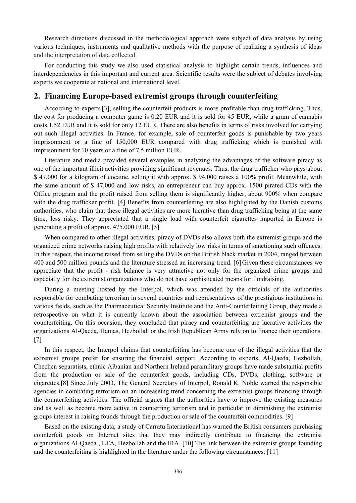Research directions discussed in the methodological approach were subject of data analysis by using various techniques, instruments and qualitative methods with the purpose of realizing a synthesis of ideas and the interpretation of data collected.

For conducting this study we also used statistical analysis to highlight certain trends, influences and interdependencies in this important and current area. Scientific results were the subject of debates involving experts we cooperate at national and international level.

#### **2. Financing Europe-based extremist groups through counterfeiting**

According to experts[3], selling the counterfeit products is more profitable than drug trafficking. Thus, the cost for producing a computer game is 0.20 EUR and it is sold for 45 EUR, while a gram of cannabis costs 1.52 EUR and it is sold for only 12 EUR. There are also benefits in terms of risks involved for carrying out such illegal activities. In France, for example, sale of counterfeit goods is punishable by two years imprisonment or a fine of 150,000 EUR compared with drug trafficking which is punished with imprisonment for 10 years or a fine of 7.5 million EUR.

Literature and media provided several examples in analyzing the advantages of the software piracy as one of the important illicit activities providing significant revenues. Thus, the drug trafficker who pays about \$ 47,000 for a kilogram of cocaine, selling it with approx. \$ 94,000 raises a 100% profit. Meanwhile, with the same amount of \$ 47,000 and low risks, an entrepreneur can buy approx. 1500 pirated CDs with the Office program and the profit raised from selling them is significantly higher, about 900% when compare with the drug trafficker profit. [4] Benefits from counterfeiting are also highlighted by the Danish customs authorities, who claim that these illegal activities are more lucrative than drug trafficking being at the same time, less risky. They appreciated that a single load with counterfeit cigarettes imported in Europe is generating a profit of approx. 475.000 EUR.[5]

When compared to other illegal activities, piracy of DVDs also allows both the extremist groups and the organized crime networks raising high profits with relatively low risks in terms of sanctioning such offences. In this respect, the income raised from selling the DVDs on the British black market in 2004, ranged between 400 and 500 million pounds and the literature stressed an increasing trend. [6] Given these circumstances we appreciate that the profit - risk balance is very attractive not only for the organized crime groups and especially for the extremist organizations who do not have sophisticated means for fundraising.

During a meeting hosted by the Interpol, which was attended by the officials of the authorities responsible for combating terrorism in several countries and representatives of the prestigious institutions in various fields, such as the Pharmaceutical Security Institute and the Anti-Counterfeiting Group, they made a retrospective on what it is currently known about the association between extremist groups and the counterfeiting. On this occasion, they concluded that piracy and counterfeiting are lucrative activities the organizations Al-Qaeda, Hamas, Hezbollah or the Irish Republican Army rely on to finance their operations. [7]

In this respect, the Interpol claims that counterfeiting has become one of the illegal activities that the extremist groups prefer for ensuring the financial support. According to experts, Al-Qaeda, Hezbollah, Chechen separatists, ethnic Albanian and Northern Ireland paramilitary groups have made substantial profits from the production or sale of the counterfeit goods, including CDs, DVDs, clothing, software or cigarettes.[8] Since July 2003, The General Secretary of Interpol, Ronald K. Noble warned the responsible agencies in combating terrorism on an increaseing trend concerning the extremist groups financing through the counterfeiting activities. The official argues that the authorities have to improve the existing measures and as well as become more active in counterring terrorism and in particular in diminishing the extremist groups interest in raising founds through the production or sale of the counterfeit commodities. [9]

Based on the existing data, a study of Carratu International has warned the British consumers purchasing counterfeit goods on Internet sites that they may indirectly contribute to financing the extremist organizations Al-Qaeda , ETA, Hezbollah and the IRA. [10] The link between the extremist groups founding and the counterfeiting is highlighted in the literature under the following circumstances: [11]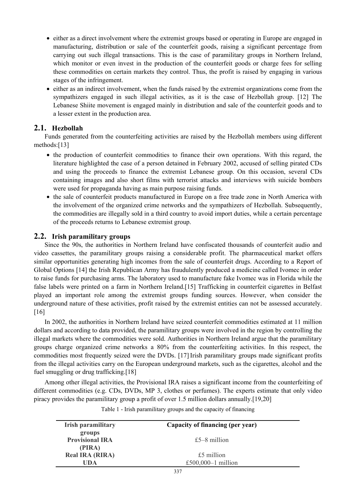- either as a direct involvement where the extremist groups based or operating in Europe are engaged in manufacturing, distribution or sale of the counterfeit goods, raising a significant percentage from carrying out such illegal transactions. This is the case of paramilitary groups in Northern Ireland, which monitor or even invest in the production of the counterfeit goods or charge fees for selling these commodities on certain markets they control. Thus, the profit is raised by engaging in various stages of the infringement.
- either as an indirect involvement, when the funds raised by the extremist organizations come from the sympathizers engaged in such illegal activities, as it is the case of Hezbollah group. [12] The Lebanese Shiite movement is engaged mainly in distribution and sale of the counterfeit goods and to a lesser extent in the production area.

### **2.1. Hezbollah**

Funds generated from the counterfeiting activities are raised by the Hezbollah members using different methods:[13]

- the production of counterfeit commodities to finance their own operations. With this regard, the literature highlighted the case of a person detained in February 2002, accused of selling pirated CDs and using the proceeds to finance the extremist Lebanese group. On this occasion, several CDs containing images and also short films with terrorist attacks and interviews with suicide bombers were used for propaganda having as main purpose raising funds.
- the sale of counterfeit products manufactured in Europe on a free trade zone in North America with the involvement of the organized crime networks and the sympathizers of Hezbollah. Subsequently, the commodities are illegally sold in a third country to avoid import duties, while a certain percentage of the proceeds returns to Lebanese extremist group.

### **2.2. Irish paramilitary groups**

Since the 90s, the authorities in Northern Ireland have confiscated thousands of counterfeit audio and video cassettes, the paramilitary groups raising a considerable profit. The pharmaceutical market offers similar opportunities generating high incomes from the sale of counterfeit drugs. According to a Report of Global Options [14] the Irish Republican Army has fraudulently produced a medicine called Ivomec in order to raise funds for purchasing arms. The laboratory used to manufacture fake Ivomec was in Florida while the false labels were printed on a farm in Northern Ireland.[15] Trafficking in counterfeit cigarettes in Belfast played an important role among the extremist groups funding sources. However, when consider the underground nature of these activities, profit raised by the extremist entities can not be assessed accurately. [16]

In 2002, the authorities in Northern Ireland have seized counterfeit commodities estimated at 11 million dollars and according to data provided, the paramilitary groups were involved in the region by controlling the illegal markets where the commodities were sold. Authorities in Northern Ireland argue that the paramilitary groups charge organized crime networks a 80% from the counterfeiting activities. In this respect, the commodities most frequently seized were the DVDs. [17] Irish paramilitary groups made significant profits from the illegal activities carry on the European underground markets, such as the cigarettes, alcohol and the fuel smuggling or drug trafficking.[18]

Among other illegal activities, the Provisional IRA raises a significant income from the counterfeiting of different commodities (e.g. CDs, DVDs, MP 3, clothes or perfumes). The experts estimate that only video piracy provides the paramilitary group a profit of over 1.5 million dollars annually.[19,20]

| <b>Irish paramilitary</b> | Capacity of financing (per year) |  |
|---------------------------|----------------------------------|--|
| groups                    |                                  |  |
| <b>Provisional IRA</b>    | £5 $-8$ million                  |  |
| (PIRA)                    |                                  |  |
| <b>Real IRA (RIRA)</b>    | £5 million                       |  |
| UDA                       | £500,000 $-1$ million            |  |

Table 1 - Irish paramilitary groups and the capacity of financing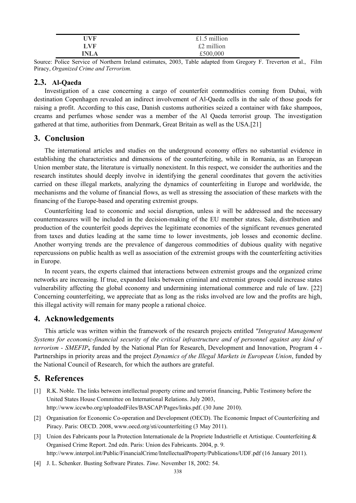| HVF  | £1.5 million |
|------|--------------|
| LVF  | £2 million   |
| 'NLA | £500,000     |

Source: Police Service of Northern Ireland estimates, 2003, Table adapted from Gregory F. Treverton et al., Film Piracy, *Organized Crime and Terrorism.* 

#### **2.3. Al-Qaeda**

Investigation of a case concerning a cargo of counterfeit commodities coming from Dubai, with destination Copenhagen revealed an indirect involvement of Al-Qaeda cells in the sale of those goods for raising a profit. According to this case, Danish customs authorities seized a container with fake shampoos, creams and perfumes whose sender was a member of the Al Qaeda terrorist group. The investigation gathered at that time, authorities from Denmark, Great Britain as well as the USA.[21]

## **3. Conclusion**

The international articles and studies on the underground economy offers no substantial evidence in establishing the characteristics and dimensions of the counterfeiting, while in Romania, as an European Union member state, the literature is virtually nonexistent. In this respect, we consider the authorities and the research institutes should deeply involve in identifying the general coordinates that govern the activities carried on these illegal markets, analyzing the dynamics of counterfeiting in Europe and worldwide, the mechanisms and the volume of financial flows, as well as stressing the association of these markets with the financing of the Europe-based and operating extremist groups.

Counterfeiting lead to economic and social disruption, unless it will be addressed and the necessary countermeasures will be included in the decision-making of the EU member states. Sale, distribution and production of the counterfeit goods deprives the legitimate economies of the significant revenues generated from taxes and duties leading at the same time to lower investments, job losses and economic decline. Another worrying trends are the prevalence of dangerous commodities of dubious quality with negative repercussions on public health as well as association of the extremist groups with the counterfeiting activities in Europe.

In recent years, the experts claimed that interactions between extremist groups and the organized crime networks are increasing. If true, expanded links between criminal and extremist groups could increase states vulnerability affecting the global economy and undermining international commerce and rule of law. [22] Concerning counterfeiting, we appreciate that as long as the risks involved are low and the profits are high, this illegal activity will remain for many people a rational choice.

# **4. Acknowledgements**

This article was written within the framework of the research projects entitled *"Integrated Management Systems for economic-financial security of the critical infrastructure and of personnel against any kind of terrorism - SMEFIP***,** funded by the National Plan for Research, Development and Innovation, Program 4 - Partnerships in priority areas and the project *Dynamics of the Illegal Markets in European Union*, funded by the National Council of Research, for which the authors are grateful.

# **5. References**

- [1] R.K. Noble. The links between intellectual property crime and terrorist financing, Public Testimony before the United States House Committee on International Relations. July 2003, http://www.iccwbo.org/uploadedFiles/BASCAP/Pages/links.pdf. (30 June 2010).
- [2] Organisation for Economic Co-operation and Development (OECD). The Economic Impact of Counterfeiting and Piracy. Paris: OECD. 2008, www.oecd.org/sti/counterfeiting (3 May 2011).
- [3] Union des Fabricants pour la Protection Internationale de la Propriete Industrielle et Artistique. Counterfeiting & Organised Crime Report. 2nd edn. Paris: Union des Fabricants. 2004, p. 9. http://www.interpol.int/Public/FinancialCrime/IntellectualProperty/Publications/UDF.pdf (16 January 2011).
- [4] J. L. Schenker. Busting Software Pirates. *Time*. November 18, 2002: 54.